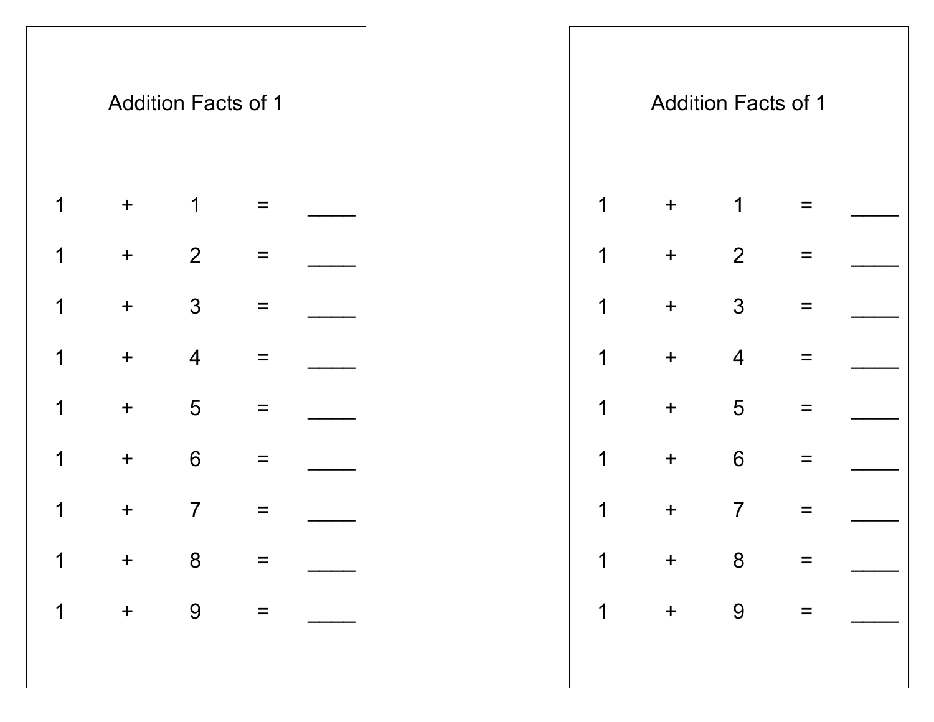|                |                  | <b>Addition Facts of 1</b> |            |  |  |              |           | <b>Addition Facts of 1</b> |                   |  |
|----------------|------------------|----------------------------|------------|--|--|--------------|-----------|----------------------------|-------------------|--|
| 1              | $\boldsymbol{+}$ | 1                          | $\equiv$   |  |  | $\mathbf 1$  | $+$       | $\mathbf 1$                | =                 |  |
| $\overline{1}$ | $\pm$            | $\overline{2}$             | $=$        |  |  | $\mathbf 1$  | $+$       | $\overline{2}$             |                   |  |
| $\overline{1}$ | $\boldsymbol{+}$ | $\mathfrak{Z}$             | $=$        |  |  | $\mathbf 1$  | $\pm$     | $\mathfrak{Z}$             | $\equiv$          |  |
| $\overline{1}$ | $\boldsymbol{+}$ | $\overline{4}$             | =          |  |  | $\mathbf 1$  | $+$       | $\overline{4}$             |                   |  |
| 1              | $\boldsymbol{+}$ | 5                          | $\equiv$   |  |  | $\mathbf 1$  | $+$       | 5                          | $\qquad \qquad =$ |  |
| 1              | $\boldsymbol{+}$ | $6\phantom{1}6$            | $\equiv$   |  |  | $\mathbf 1$  | $+$       | $6\phantom{1}6$            | $\qquad \qquad =$ |  |
| 1              | $\boldsymbol{+}$ | $\overline{7}$             | $\equiv$   |  |  | 1            | $+$       | $\overline{7}$             | $\qquad \qquad =$ |  |
|                |                  | $1 + 8 =$                  |            |  |  | $\mathbf{1}$ | $+$ 8 =   |                            |                   |  |
| 1              |                  | $+ 9$                      | $\alpha =$ |  |  |              | $1 + 9 =$ |                            |                   |  |
|                |                  |                            |            |  |  |              |           |                            |                   |  |
|                |                  |                            |            |  |  |              |           |                            |                   |  |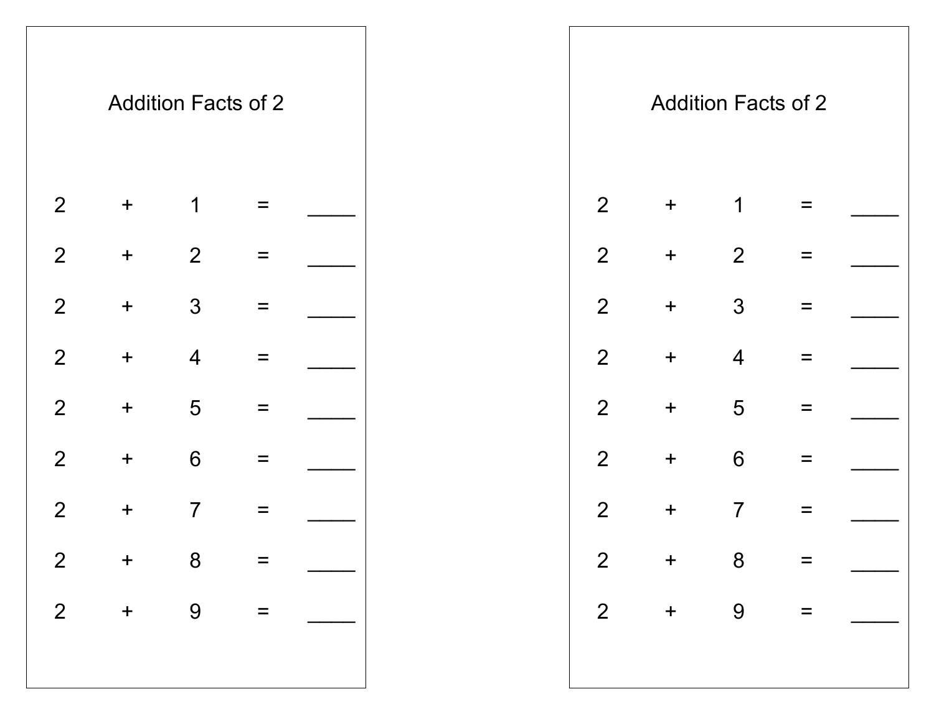|                |                                       | <b>Addition Facts of 2</b> |          |  |
|----------------|---------------------------------------|----------------------------|----------|--|
| $\mathbf{2}$   | $\ddagger$                            | 1                          |          |  |
| $\overline{2}$ | $\mathbf +$                           | $\overline{2}$             |          |  |
| $\overline{2}$ | $\ddag$                               | 3                          | =        |  |
| $\overline{2}$ | $\ddag$                               | $\overline{4}$             | $\equiv$ |  |
| $\overline{2}$ | $\div$                                | 5                          |          |  |
| $\overline{2}$ | $\ddagger$                            | 6                          |          |  |
| $\overline{2}$ | ╈                                     | 7                          |          |  |
| $\overline{2}$ | $\ddag$                               | 8                          | $=$      |  |
| $\overline{2}$ | $\begin{array}{c} \hline \end{array}$ | 9                          |          |  |
|                |                                       |                            |          |  |
|                |                                       |                            |          |  |

|                |                  | <b>Addition Facts of 2</b> |          |  |  |                |         | <b>Addition Facts of 2</b> |          |           |
|----------------|------------------|----------------------------|----------|--|--|----------------|---------|----------------------------|----------|-----------|
| $\overline{2}$ | $\boldsymbol{+}$ | 1                          | $\equiv$ |  |  | 2              | $\ddag$ | 1                          | $=$      |           |
| $\overline{2}$ | $\pm$            | $\overline{2}$             | $\equiv$ |  |  | $\overline{2}$ | $+$     | $\overline{2}$             | $\equiv$ |           |
| $\overline{2}$ | $\boldsymbol{+}$ | $\mathfrak{S}$             | $\equiv$ |  |  | 2              | $\pm$   | $\mathfrak{S}$             | $\equiv$ |           |
| $\overline{2}$ | $+$              | $\overline{4}$             | $\equiv$ |  |  | 2              | $+$     | $\overline{4}$             | $\equiv$ |           |
| $\overline{2}$ | $\boldsymbol{+}$ | 5                          | $\equiv$ |  |  | $\overline{2}$ | $+$     | 5                          | $\equiv$ |           |
| $\overline{2}$ | $\pm$            | $6\phantom{1}6$            | $\equiv$ |  |  | 2              | $\pm$   | 6                          | $=$      |           |
| $\overline{2}$ | $\ddag$          | $\overline{7}$             | $\equiv$ |  |  | $\overline{2}$ | $\pm$   | $\overline{7}$             | Ξ        |           |
| $\overline{2}$ | $+$ 8            |                            |          |  |  |                | $2 + 8$ |                            | $=$      |           |
|                |                  |                            |          |  |  |                |         |                            |          | $2 + 9 =$ |
|                |                  |                            |          |  |  |                |         |                            |          |           |
|                |                  |                            |          |  |  |                |         |                            |          |           |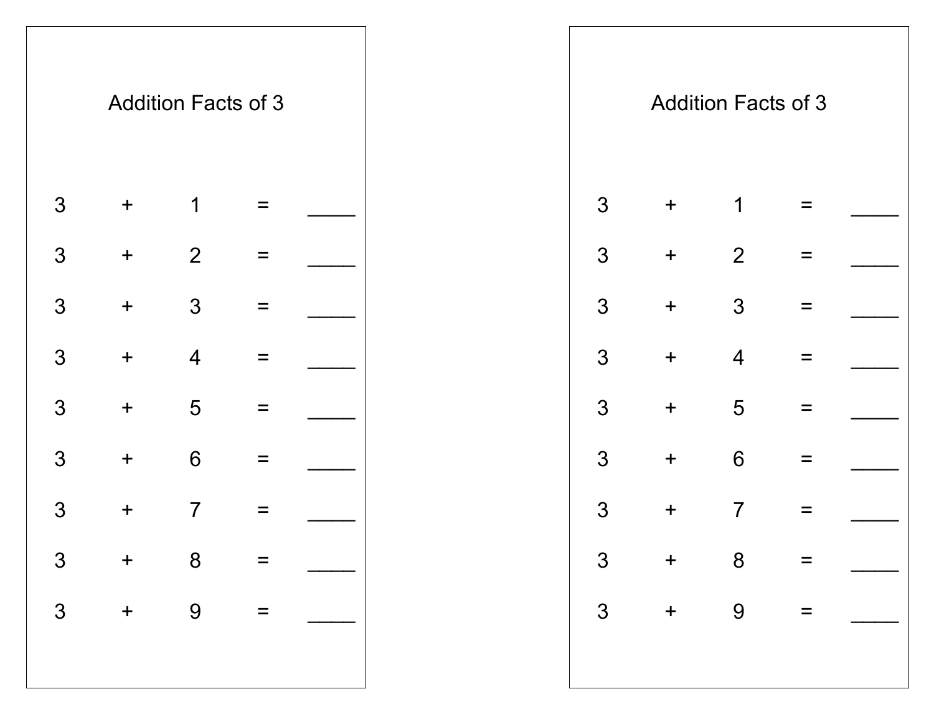|               |            | <b>Addition Facts of 3</b> |     |  |
|---------------|------------|----------------------------|-----|--|
| 3             | $\ddagger$ | 1                          |     |  |
| 3             | $\ddagger$ | $\overline{2}$             |     |  |
| 3             | $\ddag$    | 3                          |     |  |
| 3             | $\ddagger$ | $\overline{4}$             |     |  |
| 3             | $\ddagger$ | 5                          |     |  |
| 3             | $\ddagger$ | 6                          |     |  |
| 3             | +          | 7                          |     |  |
|               | $\ddag$    | 8                          |     |  |
| $\frac{3}{3}$ | $\ddag$    | 9                          | $=$ |  |
|               |            |                            |     |  |
|               |            |                            |     |  |

|                |           | <b>Addition Facts of 3</b> |          |  |  |                |         | <b>Addition Facts of 3</b> |          |  |
|----------------|-----------|----------------------------|----------|--|--|----------------|---------|----------------------------|----------|--|
| 3              | $\pm$     | 1                          | $=$      |  |  | $\mathfrak{S}$ | $+$     | 1                          |          |  |
| 3              | $\pm$     | 2                          | $\equiv$ |  |  | 3              | $\pm$   | 2                          |          |  |
| 3              | $\pm$     | $\mathfrak{Z}$             | $\equiv$ |  |  | $\mathfrak{S}$ | $+$     | $\mathfrak{S}$             | $=$      |  |
| 3              | $\pm$     | $\overline{4}$             | $\equiv$ |  |  | 3              | $+$     | $\overline{4}$             |          |  |
| 3              | $\pm$     | 5                          | $\equiv$ |  |  | 3              | $+$     | 5                          | $\equiv$ |  |
| 3              | $\pm$     | $6\phantom{1}6$            | $\equiv$ |  |  | $\mathfrak{S}$ | $\pm$   | $6\phantom{1}6$            | =        |  |
| 3              | $\ddag$   | $\overline{7}$             | $\equiv$ |  |  | 3              | $\pm$   | $\overline{7}$             | $=$      |  |
| 3 <sup>1</sup> | $+$ 8     |                            |          |  |  |                | $3 + 8$ |                            |          |  |
|                | $3 + 9 =$ |                            |          |  |  |                |         | $3 + 9 =$                  |          |  |
|                |           |                            |          |  |  |                |         |                            |          |  |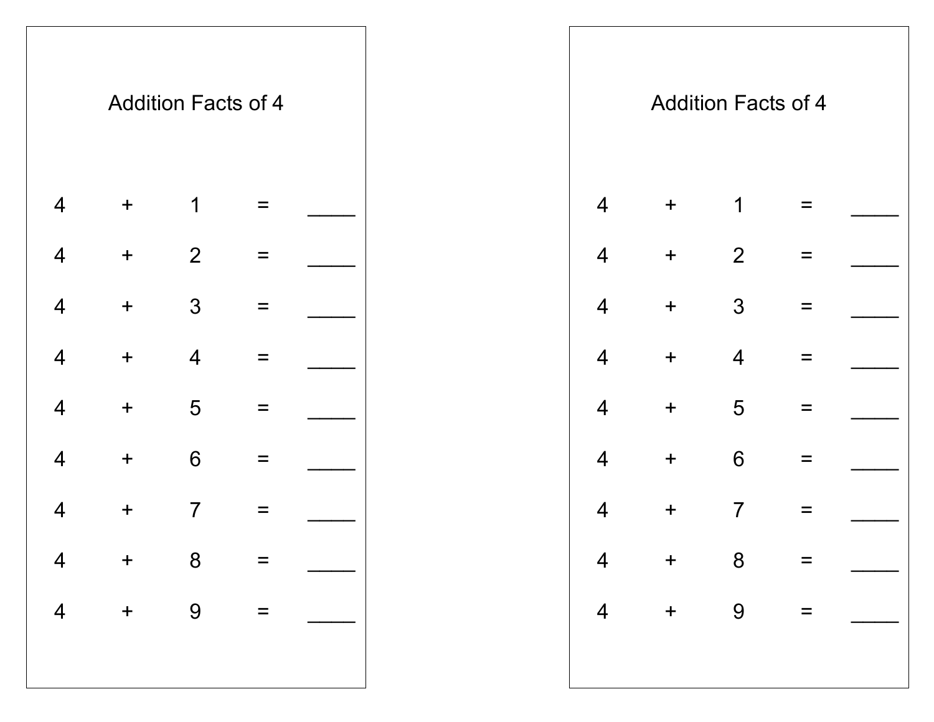|                          |             | <b>Addition Facts of 4</b> |     |  |
|--------------------------|-------------|----------------------------|-----|--|
| $\overline{4}$           | $\ddag$     | 1                          |     |  |
| $\overline{4}$           | $\ddagger$  | $\mathbf{2}$               |     |  |
| $\overline{4}$           | $\ddag$     | 3                          | =   |  |
| $\overline{4}$           | $\ddag$     | 4                          | ᆖ   |  |
| $\overline{\mathcal{A}}$ | $\ddagger$  | 5                          |     |  |
| 4                        | $\ddag$     | 6                          |     |  |
| 4                        | $\mathbf +$ | 7                          |     |  |
| $\overline{\mathcal{A}}$ | $\ddag$     | 8                          | $=$ |  |
| $\overline{4}$           | $+$         | 9                          |     |  |
|                          |             |                            |     |  |

| $+$                              | 1               | $\equiv$ |                            |           |                               | $\overline{4}$ | $+$   | 1               | $=$               |                                                    |
|----------------------------------|-----------------|----------|----------------------------|-----------|-------------------------------|----------------|-------|-----------------|-------------------|----------------------------------------------------|
| $\ddagger$                       | $\overline{2}$  | $\equiv$ |                            |           |                               | $\overline{4}$ | $+$   | $\overline{2}$  | $\equiv$          |                                                    |
| $\ddagger$                       | 3               | $\equiv$ |                            |           |                               | $\overline{4}$ | $+$   | $\mathfrak{S}$  | $=$               |                                                    |
| $\begin{array}{c} + \end{array}$ | $\overline{4}$  | $=$      |                            |           |                               | $\overline{4}$ | $\pm$ | $\overline{4}$  | Ξ                 |                                                    |
| $\ddagger$                       | 5               | $\equiv$ |                            |           |                               | $\overline{4}$ | $+$   | 5               | $=$               |                                                    |
| $\pm$                            | $6\phantom{1}6$ | $\equiv$ |                            |           |                               | $\overline{4}$ | $\pm$ | $6\phantom{1}6$ | $\qquad \qquad =$ |                                                    |
| $\ddag$                          | $\overline{7}$  | $\equiv$ |                            |           |                               | $\overline{4}$ | $\pm$ | $\overline{7}$  | $\equiv$          |                                                    |
|                                  |                 |          |                            |           |                               |                |       |                 |                   |                                                    |
|                                  |                 |          |                            |           |                               |                |       |                 |                   |                                                    |
|                                  |                 |          |                            |           |                               |                |       |                 |                   |                                                    |
|                                  |                 |          | <b>Addition Facts of 4</b> | $4 + 8 =$ | $4 + 9 = \boxed{\phantom{1}}$ |                |       |                 |                   | <b>Addition Facts of 4</b><br>$4 + 8$<br>$4 + 9 =$ |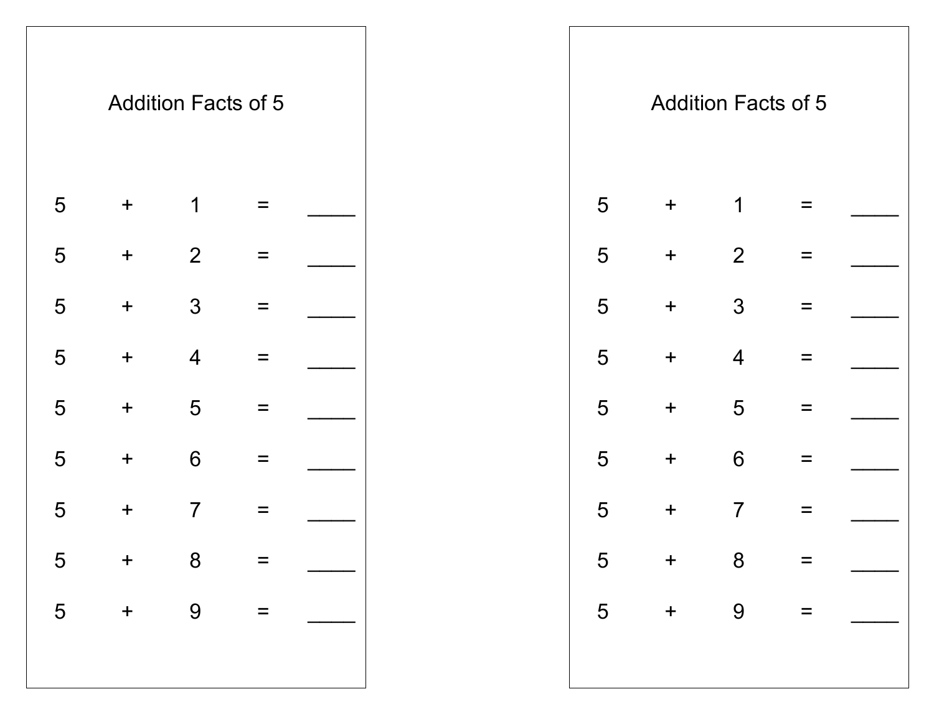

|   |                  | <b>Addition Facts of 5</b> |          |  |  |   |            | <b>Addition Facts of 5</b> |          |  |
|---|------------------|----------------------------|----------|--|--|---|------------|----------------------------|----------|--|
| 5 | $\boldsymbol{+}$ | 1                          | $=$      |  |  | 5 | $\ddagger$ | 1                          |          |  |
| 5 | $\boldsymbol{+}$ | $\overline{2}$             | $\equiv$ |  |  | 5 | $+$        | $\overline{2}$             |          |  |
| 5 | $\pm$            | $\mathfrak{S}$             | $\equiv$ |  |  | 5 | $\pm$      | 3                          | $=$      |  |
| 5 | $+$              | $\overline{4}$             | $\equiv$ |  |  | 5 | $+$        | $\overline{4}$             |          |  |
| 5 | $\pm$            | 5                          | $\equiv$ |  |  | 5 | $\ddot{}$  | 5                          | $\equiv$ |  |
| 5 | $\pm$            | $6\phantom{1}6$            | $\equiv$ |  |  | 5 | $+$        | 6                          |          |  |
| 5 | $\ddag$          | $\overline{7}$             | $\equiv$ |  |  | 5 | $\ddot{}$  | $\overline{7}$             | $=$      |  |
|   | $5 + 8$          |                            |          |  |  |   | $5 + 8$    |                            |          |  |
|   | $5 + 9 =$        |                            |          |  |  |   |            | $5 + 9 =$                  |          |  |
|   |                  |                            |          |  |  |   |            |                            |          |  |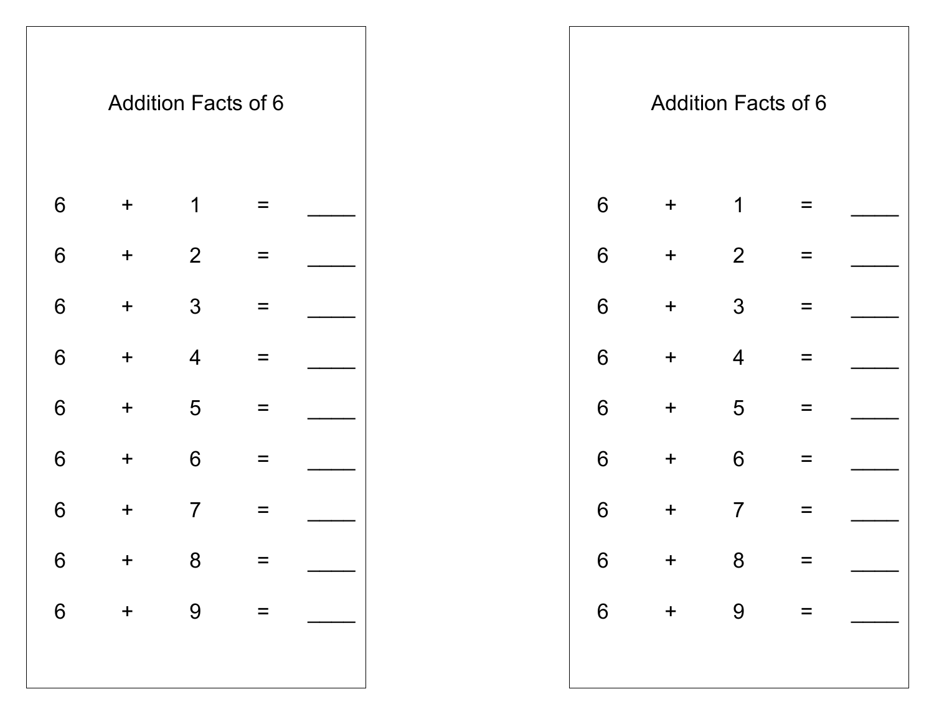

|            |         | <b>Addition Facts of 6</b> |                           |  |  |                 |                  | <b>Addition Facts of 6</b> |   |  |
|------------|---------|----------------------------|---------------------------|--|--|-----------------|------------------|----------------------------|---|--|
| 6          | $\pm$   | 1                          | $=$                       |  |  | 6               | $+$              | 1                          |   |  |
| 6          | $\pm$   | 2                          | $\equiv$                  |  |  | $6\phantom{1}6$ | $\ddagger$       | $\overline{2}$             |   |  |
| 6          | $\pm$   | $\mathfrak{S}$             | $\equiv$                  |  |  | $6\phantom{1}6$ | $\boldsymbol{+}$ | $\mathfrak{S}$             | ᆖ |  |
| 6          | $+$     | $\overline{4}$             | $\equiv$                  |  |  | $6\phantom{1}6$ | $\boldsymbol{+}$ | $\overline{4}$             |   |  |
| 6          | $\ddag$ | 5                          | $\equiv$                  |  |  | $6\phantom{1}6$ | $\ddagger$       | 5                          |   |  |
| 6          | $\pm$   | $6\phantom{1}6$            | $\equiv$                  |  |  | $6\phantom{1}6$ | $\pm$            | $6\phantom{1}6$            |   |  |
| 6          | $\ddag$ | $\overline{7}$             | $\qquad \qquad =$         |  |  | $6\phantom{1}6$ | $\ddagger$       | $\overline{7}$             | = |  |
| $6\degree$ | $+$ 8   |                            |                           |  |  | $6\phantom{.}6$ | $+$ 8            |                            |   |  |
|            | $6 + 9$ |                            | $\mathbf{r} = \mathbf{r}$ |  |  |                 |                  | $6 + 9 =$                  |   |  |
|            |         |                            |                           |  |  |                 |                  |                            |   |  |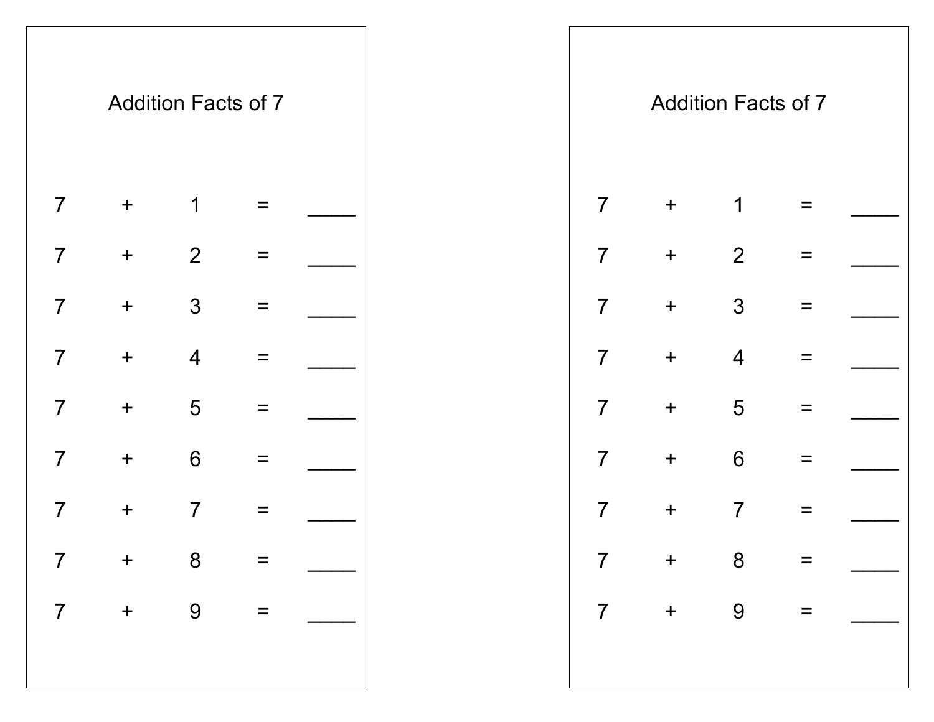

|                          |                  | <b>Addition Facts of 7</b> |          |              |  |                |                  | <b>Addition Facts of 7</b> |          |  |
|--------------------------|------------------|----------------------------|----------|--------------|--|----------------|------------------|----------------------------|----------|--|
| $\overline{\mathcal{L}}$ | $\pm$            | 1                          | $=$      |              |  | $\overline{7}$ | $\boldsymbol{+}$ | $\mathbf 1$                | =        |  |
| $\overline{7}$           | $\pm$            | $\overline{2}$             | $\equiv$ |              |  | $\overline{7}$ | $+$              | 2                          | $=$      |  |
| $\overline{7}$           | $\boldsymbol{+}$ | $\mathfrak{Z}$             | $\equiv$ |              |  | $\overline{7}$ | $+$              | 3                          | $\equiv$ |  |
| $\overline{7}$           | $\pm$            | $\overline{4}$             | $\equiv$ |              |  | $\overline{7}$ | $+$              | $\overline{4}$             | $=$      |  |
| $\overline{\mathcal{L}}$ | $\pm$            | 5                          | $\equiv$ |              |  | $\overline{7}$ | $+$              | $5\phantom{.0}$            | $\equiv$ |  |
| $\overline{\mathcal{L}}$ | $\pm$            | 6                          | $\equiv$ |              |  | $\overline{7}$ | $+$              | $6\phantom{1}6$            | $=$      |  |
| $\overline{7}$           | $\ddag$          | $\overline{7}$             | $\equiv$ |              |  | $\overline{7}$ | $+$              | $\overline{7}$             | $=$      |  |
| $\overline{7}$           | $+$              | 8 <sup>8</sup>             |          |              |  | $\overline{7}$ |                  | $+ 8$                      |          |  |
|                          |                  |                            |          | $7 + 9 = \_$ |  |                |                  | $7 + 9 =$                  |          |  |
|                          |                  |                            |          |              |  |                |                  |                            |          |  |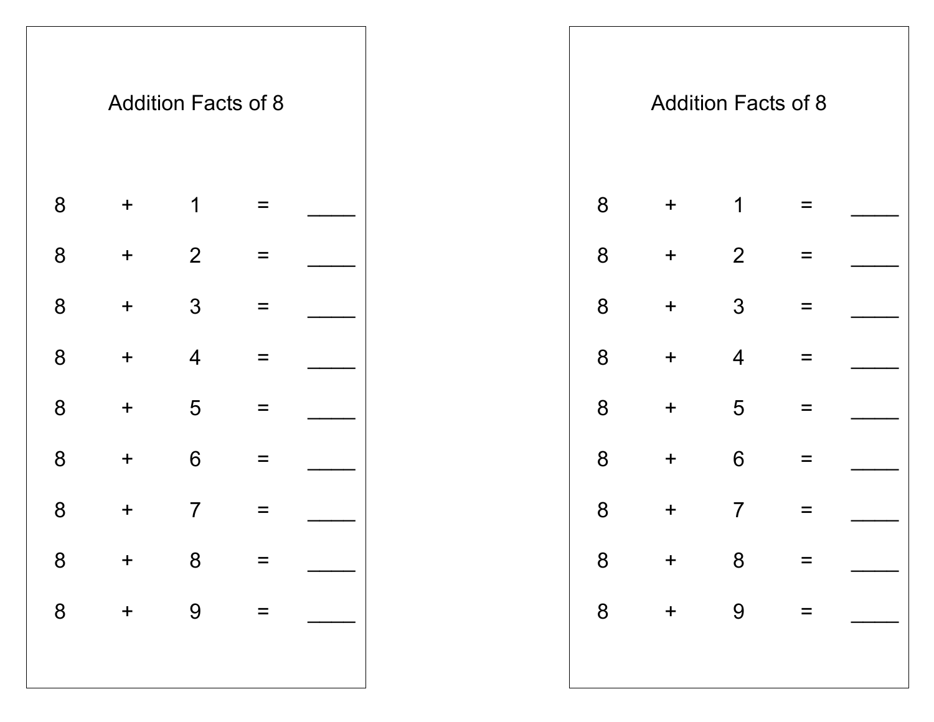|   |            | <b>Addition Facts of 8</b> |   |  |
|---|------------|----------------------------|---|--|
| 8 | $\ddagger$ | 1                          |   |  |
| 8 | $\ddag$    | $\overline{2}$             |   |  |
| 8 | $\ddagger$ | 3                          |   |  |
| 8 | $\ddag$    | $\overline{4}$             |   |  |
| 8 | $\ddagger$ | 5                          |   |  |
| 8 | $\ddag$    | 6                          |   |  |
| 8 | +          | 7                          |   |  |
| 8 | $\ddag$    | 8                          |   |  |
| 8 | $\ddag$    | 9                          | Ξ |  |
|   |            |                            |   |  |
|   |            |                            |   |  |

|                |                  | <b>Addition Facts of 8</b> |                             |  |  |                |            | <b>Addition Facts of 8</b> |          |  |
|----------------|------------------|----------------------------|-----------------------------|--|--|----------------|------------|----------------------------|----------|--|
| 8              | $\boldsymbol{+}$ | 1                          | $\equiv$                    |  |  | 8              | $+$        | 1                          | $=$      |  |
| 8              | $\pm$            | $\overline{2}$             | $\equiv$                    |  |  | 8              | $+$        | $\overline{2}$             | $\equiv$ |  |
| 8              | $\pm$            | 3                          | $\equiv$                    |  |  | 8              | $+$        | $\mathfrak{Z}$             | $\equiv$ |  |
| 8              | $\pm$            | $\overline{4}$             | $\equiv$                    |  |  | 8              | $\pm$      | $\overline{4}$             | $\equiv$ |  |
| 8              | $\pm$            | 5                          | $\equiv$                    |  |  | 8              | $\ddagger$ | 5                          |          |  |
| 8              | $\pm$            | $6\phantom{1}6$            | $\equiv$                    |  |  | 8              | $+$        | 6                          | $\equiv$ |  |
| 8              | $\pm$            | $\overline{7}$             | $\equiv$                    |  |  | 8              | $+$        | $\overline{7}$             |          |  |
| 8              | $+$ 8            |                            |                             |  |  | $8\phantom{1}$ | $+$ 8      |                            |          |  |
| $\overline{8}$ | $+$ 9            |                            | $\mathcal{L} = \mathcal{L}$ |  |  |                |            | $8 + 9 =$                  |          |  |
|                |                  |                            |                             |  |  |                |            |                            |          |  |